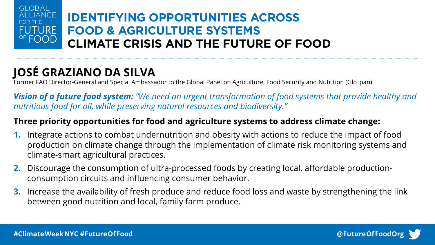### GI OBAL **IDENTIFYING OPPORTUNITIES ACROSS FOOD & AGRICULTURE SYSTEMS FUTURE FOOD CLIMATE CRISIS AND THE FUTURE OF FOOD**

# **JOSÉ GRAZIANO DA SILVA**

Former FAO Director-General and Special Ambassador to the Global Panel on Agriculture, Food Security and Nutrition (Glo\_pan)

*Vision of a future food system: "We need an urgent transformation of food systems that provide healthy and nutritious food for all, while preserving natural resources and biodiversity."*

- **1.** Integrate actions to combat undernutrition and obesity with actions to reduce the impact of food production on climate change through the implementation of climate risk monitoring systems and climate-smart agricultural practices.
- **2.** Discourage the consumption of ultra-processed foods by creating local, affordable productionconsumption circuits and influencing consumer behavior.
- **3.** Increase the availability of fresh produce and reduce food loss and waste by strengthening the link between good nutrition and local, family farm produce.

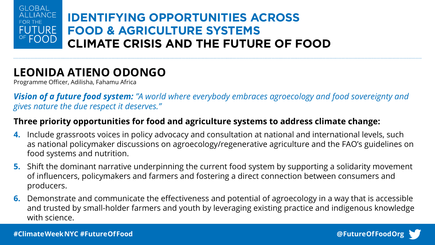### GI OBAL **IDENTIFYING OPPORTUNITIES ACROSS FUTURE FOOD & AGRICULTURE SYSTEMS FOOD CLIMATE CRISIS AND THE FUTURE OF FOOD**

# **LEONIDA ATIENO ODONGO**

Programme Officer, Adilisha, Fahamu Africa

*Vision of a future food system: "A world where everybody embraces agroecology and food sovereignty and gives nature the due respect it deserves."*

- **4.** Include grassroots voices in policy advocacy and consultation at national and international levels, such as national policymaker discussions on agroecology/regenerative agriculture and the FAO's guidelines on food systems and nutrition.
- **5.** Shift the dominant narrative underpinning the current food system by supporting a solidarity movement of influencers, policymakers and farmers and fostering a direct connection between consumers and producers.
- **6.** Demonstrate and communicate the effectiveness and potential of agroecology in a way that is accessible and trusted by small-holder farmers and youth by leveraging existing practice and indigenous knowledge with science.

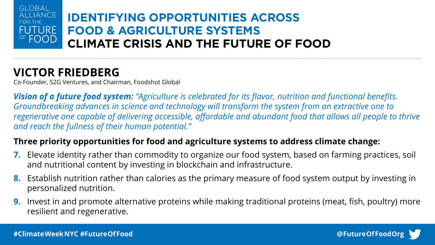# **GLOBAL FUTURE FOOD**

## **IDENTIFYING OPPORTUNITIES ACROSS FOOD & AGRICULTURE SYSTEMS CLIMATE CRISIS AND THE FUTURE OF FOOD**

## **VICTOR FRIEDBERG**

Co-Founder, S2G Ventures, and Chairman, Foodshot Global

*Vision of a future food system: "Agriculture is celebrated for its flavor, nutrition and functional benefits. Groundbreaking advances in science and technology will transform the system from an extractive one to*  regenerative one capable of delivering accessible, affordable and abundant food that allows all people to thrive *and reach the fullness of their human potential."*

- **7.** Elevate identity rather than commodity to organize our food system, based on farming practices, soil and nutritional content by investing in blockchain and infrastructure.
- **8.** Establish nutrition rather than calories as the primary measure of food system output by investing in personalized nutrition.
- **9.** Invest in and promote alternative proteins while making traditional proteins (meat, fish, poultry) more resilient and regenerative.

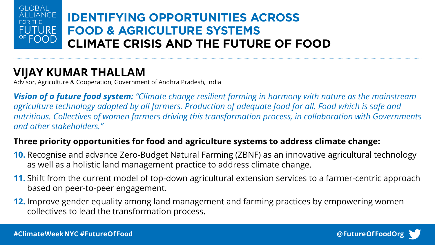### GI OBAL **IDENTIFYING OPPORTUNITIES ACROSS FUTURE FOOD & AGRICULTURE SYSTEMS FOOD CLIMATE CRISIS AND THE FUTURE OF FOOD**

# **VIJAY KUMAR THALLAM**

Advisor, Agriculture & Cooperation, Government of Andhra Pradesh, India

*Vision of a future food system: "Climate change resilient farming in harmony with nature as the mainstream agriculture technology adopted by all farmers. Production of adequate food for all. Food which is safe and nutritious. Collectives of women farmers driving this transformation process, in collaboration with Governments and other stakeholders."*

- **10.** Recognise and advance Zero-Budget Natural Farming (ZBNF) as an innovative agricultural technology as well as a holistic land management practice to address climate change.
- **11.** Shift from the current model of top-down agricultural extension services to a farmer-centric approach based on peer-to-peer engagement.
- **12.** Improve gender equality among land management and farming practices by empowering women collectives to lead the transformation process.

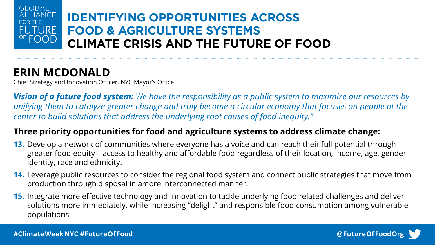### **GLOBAL** TANCE. **IDENTIFYING OPPORTUNITIES ACROSS FUTURE FOOD & AGRICULTURE SYSTEMS FOOD CLIMATE CRISIS AND THE FUTURE OF FOOD**

# **ERIN MCDONALD**

FOR THE

Chief Strategy and Innovation Officer, NYC Mayor's Office

*Vision of a future food system: We have the responsibility as a public system to maximize our resources by unifying them to catalyze greater change and truly become a circular economy that focuses on people at the center to build solutions that address the underlying root causes of food inequity."*

- **13.** Develop a network of communities where everyone has a voice and can reach their full potential through greater food equity – access to healthy and affordable food regardless of their location, income, age, gender identity, race and ethnicity.
- **14.** Leverage public resources to consider the regional food system and connect public strategies that move from production through disposal in amore interconnected manner.
- **15.** Integrate more effective technology and innovation to tackle underlying food related challenges and deliver solutions more immediately, while increasing "delight" and responsible food consumption among vulnerable populations.

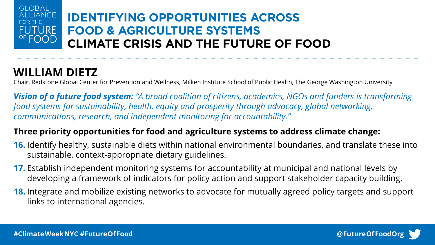### **GLOBAL** IANCE. **IDENTIFYING OPPORTUNITIES ACROSS FOOD & AGRICULTURE SYSTEMS FUTURE** FOOD. **CLIMATE CRISIS AND THE FUTURE OF FOOD**

# **WILLIAM DIETZ**

Chair, Redstone Global Center for Prevention and Wellness, Milken Institute School of Public Health, The George Washington University

*Vision of a future food system: "A broad coalition of citizens, academics, NGOs and funders is transforming food systems for sustainability, health, equity and prosperity through advocacy, global networking, communications, research, and independent monitoring for accountability."*

- **16.** Identify healthy, sustainable diets within national environmental boundaries, and translate these into sustainable, context-appropriate dietary guidelines.
- **17.** Establish independent monitoring systems for accountability at municipal and national levels by developing a framework of indicators for policy action and support stakeholder capacity building.
- **18.** Integrate and mobilize existing networks to advocate for mutually agreed policy targets and support links to international agencies.

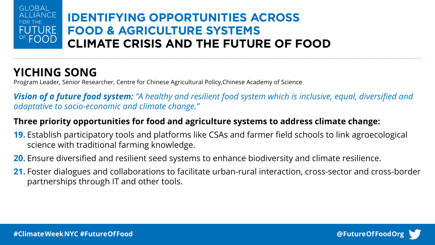### **GLOBAL IDENTIFYING OPPORTUNITIES ACROSS FOOD & AGRICULTURE SYSTEMS FUTURE** FOOD. **CLIMATE CRISIS AND THE FUTURE OF FOOD**

# **YICHING SONG**

Program Leader, Senior Researcher, Centre for Chinese Agricultural Policy,Chinese Academy of Science

*Vision of a future food system: "A healthy and resilient food system which is inclusive, equal, diversified and adaptative to socio-economic and climate change."*

- **19.** Establish participatory tools and platforms like CSAs and farmer field schools to link agroecological science with traditional farming knowledge.
- **20.** Ensure diversified and resilient seed systems to enhance biodiversity and climate resilience.
- **21.** Foster dialogues and collaborations to facilitate urban-rural interaction, cross-sector and cross-border partnerships through IT and other tools.



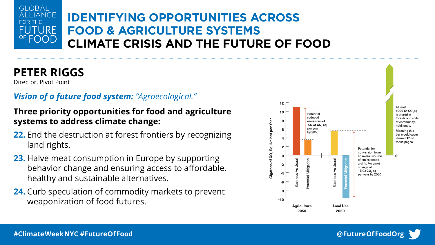### GLOBAL **ALLIANCE FOR THE FUTURE** FOOD

## **IDENTIFYING OPPORTUNITIES ACROSS FOOD & AGRICULTURE SYSTEMS CLIMATE CRISIS AND THE FUTURE OF FOOD**

# **PETER RIGGS**

Director, Pivot Point

## *Vision of a future food system: "Agroecological."*

- **22.** End the destruction at forest frontiers by recognizing land rights.
- **23.** Halve meat consumption in Europe by supporting behavior change and ensuring access to affordable, healthy and sustainable alternatives.
- **24.** Curb speculation of commodity markets to prevent weaponization of food futures.



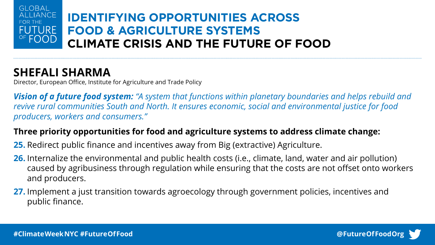### **GLOBAL IDENTIFYING OPPORTUNITIES ACROSS FOOD & AGRICULTURE SYSTEMS FUTURE** FOOD. **CLIMATE CRISIS AND THE FUTURE OF FOOD**

# **SHEFALI SHARMA**

Director, European Office, Institute for Agriculture and Trade Policy

*Vision of a future food system: "A system that functions within planetary boundaries and helps rebuild and revive rural communities South and North. It ensures economic, social and environmental justice for food producers, workers and consumers."*

## **Three priority opportunities for food and agriculture systems to address climate change:**

**25.** Redirect public finance and incentives away from Big (extractive) Agriculture.

- **26.** Internalize the environmental and public health costs (i.e., climate, land, water and air pollution) caused by agribusiness through regulation while ensuring that the costs are not offset onto workers and producers.
- **27.** Implement a just transition towards agroecology through government policies, incentives and public finance.